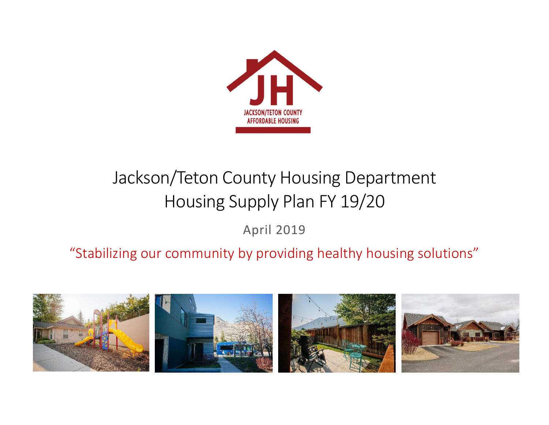

# Jackson/Teton County Housing Department Housing Supply Plan FY 19/20

April 2019

"Stabilizing our community by providing healthy housing solutions"

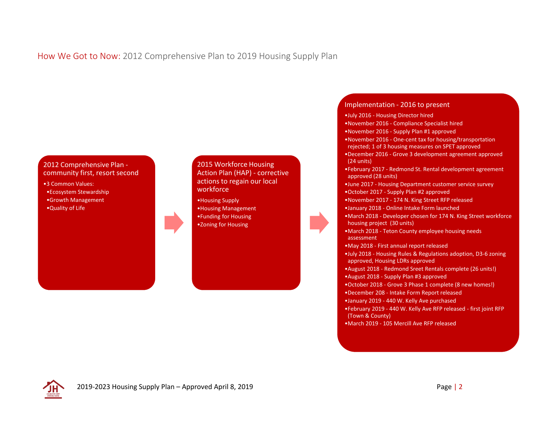#### How We Got to Now: 2012 Comprehensive Plan to 2019 Housing Supply Plan

#### 2012 Comprehensive Plan community first, resort second

•3 Common Values: •Ecosystem Stewardship •Growth Management •Quality of Life

#### 2015 Workforce Housing Action Plan (HAP) - corrective actions to regain our local workforce

•Housing Supply •Housing Management •Funding for Housing •Zoning for Housing

#### Implementation - 2016 to present

- •July 2016 Housing Director hired
- •November 2016 Compliance Specialist hired
- •November 2016 Supply Plan #1 approved
- •November 2016 One-cent tax for housing/transportation rejected; 1 of 3 housing measures on SPET approved
- •December 2016 Grove 3 development agreement approved (24 units)
- •February 2017 Redmond St. Rental development agreement approved (28 units)
- •June 2017 Housing Department customer service survey •October 2017 - Supply Plan #2 approved
- •November 2017 174 N. King Street RFP released
- •January 2018 Online Intake Form launched
- •March 2018 Developer chosen for 174 N. King Street workforce housing project (30 units)
- •March 2018 Teton County employee housing needs assessment
- •May 2018 First annual report released
- •July 2018 Housing Rules & Regulations adoption, D3-6 zoning approved, Housing LDRs approved
- •August 2018 Redmond Sreet Rentals complete (26 units!)
- •August 2018 Supply Plan #3 approved
- •October 2018 Grove 3 Phase 1 complete (8 new homes!)
- •December 208 Intake Form Report released
- •January 2019 440 W. Kelly Ave purchased
- •February 2019 440 W. Kelly Ave RFP released first joint RFP (Town & County)
- •March 2019 105 Mercill Ave RFP released

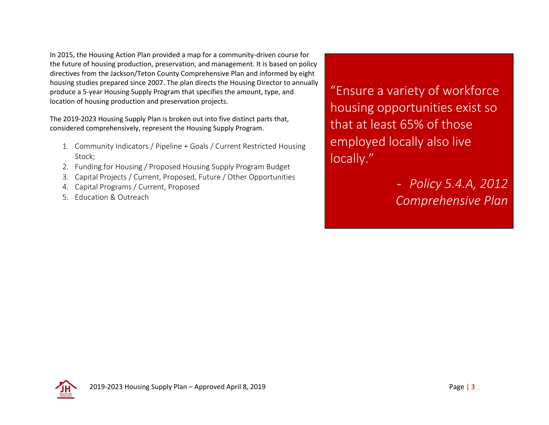In 2015, the Housing Action Plan provided a map for a community-driven course for the future of housing production, preservation, and management. It is based on policy directives from the Jackson/Teton County Comprehensive Plan and informed by eight housing studies prepared since 2007. The plan directs the Housing Director to annually produce a 5-year Housing Supply Program that specifies the amount, type, and location of housing production and preservation projects.

The 2019-2023 Housing Supply Plan is broken out into five distinct parts that, considered comprehensively, represent the Housing Supply Program.

- 1. Community Indicators / Pipeline + Goals / Current Restricted Housing Stock;
- 2. Funding for Housing / Proposed Housing Supply Program Budget
- 3. Capital Projects / Current, Proposed, Future / Other Opportunities
- 4. Capital Programs / Current, Proposed
- 5. Education & Outreach

"Ensure a variety of workforce housing opportunities exist so that at least 65% of those employed locally also live locally."

> - *Policy 5.4.A, 2012 Comprehensive Plan*

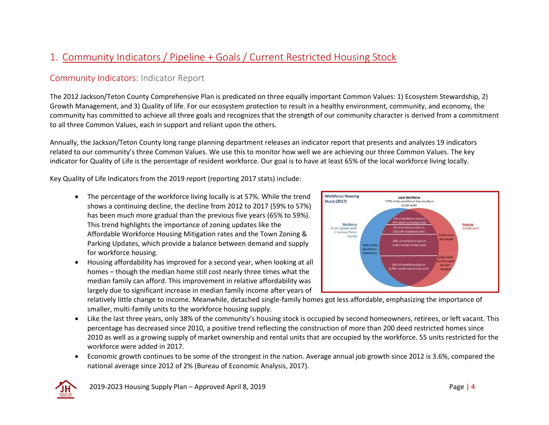# 1. Community Indicators / Pipeline + Goals / Current Restricted Housing Stock

## Community Indicators: Indicator Report

The 2012 Jackson/Teton County Comprehensive Plan is predicated on three equally important Common Values: 1) Ecosystem Stewardship, 2) Growth Management, and 3) Quality of life. For our ecosystem protection to result in a healthy environment, community, and economy, the community has committed to achieve all three goals and recognizes that the strength of our community character is derived from a commitment to all three Common Values, each in support and reliant upon the others.

Annually, the Jackson/Teton County long range planning department releases an indicator report that presents and analyzes 19 indicators related to our community's three Common Values. We use this to monitor how well we are achieving our three Common Values. The key indicator for Quality of Life is the percentage of resident workforce. Our goal is to have at least 65% of the local workforce living locally.

Key Quality of Life Indicators from the 2019 report (reporting 2017 stats) include:

- The percentage of the workforce living locally is at 57%. While the trend shows a continuing decline, the decline from 2012 to 2017 (59% to 57%) has been much more gradual than the previous five years (65% to 59%). This trend highlights the importance of zoning updates like the Affordable Workforce Housing Mitigation rates and the Town Zoning & Parking Updates, which provide a balance between demand and supply for workforce housing.
- Housing affordability has improved for a second year, when looking at all homes – though the median home still cost nearly three times what the median family can afford. This improvement in relative affordability was largely due to significant increase in median family income after years of



relatively little change to income. Meanwhile, detached single-family homes got less affordable, emphasizing the importance of smaller, multi-family units to the workforce housing supply.

- Like the last three years, only 38% of the community's housing stock is occupied by second homeowners, retirees, or left vacant. This percentage has decreased since 2010, a positive trend reflecting the construction of more than 200 deed restricted homes since 2010 as well as a growing supply of market ownership and rental units that are occupied by the workforce. 55 units restricted for the workforce were added in 2017.
- Economic growth continues to be some of the strongest in the nation. Average annual job growth since 2012 is 3.6%, compared the national average since 2012 of 2% (Bureau of Economic Analysis, 2017).

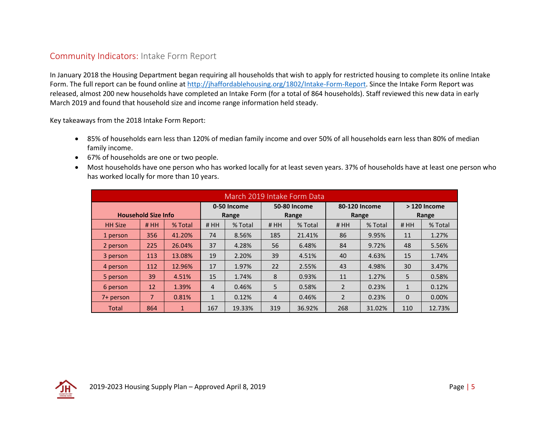#### Community Indicators: Intake Form Report

In January 2018 the Housing Department began requiring all households that wish to apply for restricted housing to complete its online Intake Form. The full report can be found online at [http://jhaffordablehousing.org/1802/Intake-Form-Report.](http://jhaffordablehousing.org/1802/Intake-Form-Report) Since the Intake Form Report was released, almost 200 new households have completed an Intake Form (for a total of 864 households). Staff reviewed this new data in early March 2019 and found that household size and income range information held steady.

Key takeaways from the 2018 Intake Form Report:

- 85% of households earn less than 120% of median family income and over 50% of all households earn less than 80% of median family income.
- 67% of households are one or two people.
- Most households have one person who has worked locally for at least seven years. 37% of households have at least one person who has worked locally for more than 10 years.

| March 2019 Intake Form Data |                            |              |                |             |                |                     |               |             |              |         |  |  |  |
|-----------------------------|----------------------------|--------------|----------------|-------------|----------------|---------------------|---------------|-------------|--------------|---------|--|--|--|
|                             |                            |              |                | 0-50 Income |                | <b>50-80 Income</b> | 80-120 Income |             | > 120 Income |         |  |  |  |
|                             | <b>Household Size Info</b> |              | Range          |             |                | Range               |               | Range       | Range        |         |  |  |  |
| <b>HH Size</b>              | #HH                        | % Total      | #HH            | % Total     | #HH            | % Total             |               | % Total     | #HH          | % Total |  |  |  |
| 1 person                    | 356                        | 41.20%       | 74             | 8.56%       | 185            | 21.41%              | 86            | 9.95%       | 11           | 1.27%   |  |  |  |
| 2 person                    | 225                        | 26.04%       | 37             | 4.28%       |                | 56<br>6.48%         |               | 84<br>9.72% |              | 5.56%   |  |  |  |
| 3 person                    | 113                        | 13.08%       | 19             | 2.20%       | 39<br>4.51%    |                     | 40            | 4.63%       | 15           | 1.74%   |  |  |  |
| 4 person                    | 112                        | 12.96%       | 17             | 1.97%       | 22<br>2.55%    |                     | 43            | 4.98%       |              | 3.47%   |  |  |  |
| 5 person                    | 39                         | 4.51%        | 15             | 1.74%       | 8              | 0.93%               |               | 11<br>1.27% |              | 0.58%   |  |  |  |
| 6 person                    | 12                         | 1.39%        | $\overline{4}$ | 0.46%       | 5              | 0.58%               | 2             | 0.23%       | $\mathbf{1}$ | 0.12%   |  |  |  |
| 7+ person                   | $\overline{7}$             | 0.81%        | $\mathbf{1}$   | 0.12%       | $\overline{4}$ | 0.46%               | 2             | 0.23%       | $\Omega$     | 0.00%   |  |  |  |
| Total                       | 864                        | $\mathbf{1}$ | 167            | 19.33%      | 319            | 36.92%              | 268           | 31.02%      | 110          | 12.73%  |  |  |  |

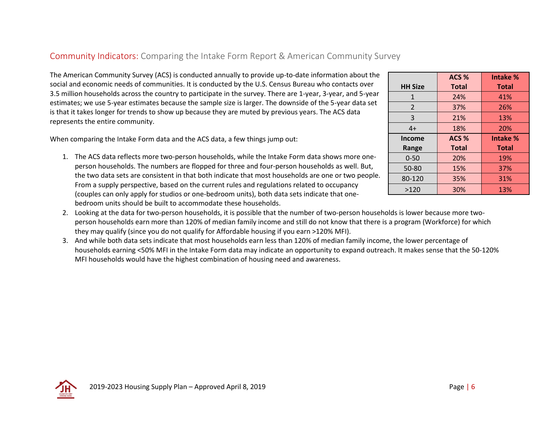## Community Indicators: Comparing the Intake Form Report & American Community Survey

The American Community Survey (ACS) is conducted annually to provide up-to-date information about the social and economic needs of communities. It is conducted by the U.S. Census Bureau who contacts over 3.5 million households across the country to participate in the survey. There are 1-year, 3-year, and 5-year estimates; we use 5-year estimates because the sample size is larger. The downside of the 5-year data set is that it takes longer for trends to show up because they are muted by previous years. The ACS data represents the entire community.

When comparing the Intake Form data and the ACS data, a few things jump out:

- 1. The ACS data reflects more two-person households, while the Intake Form data shows more oneperson households. The numbers are flopped for three and four-person households as well. But, the two data sets are consistent in that both indicate that most households are one or two people. From a supply perspective, based on the current rules and regulations related to occupancy (couples can only apply for studios or one-bedroom units), both data sets indicate that onebedroom units should be built to accommodate these households.
- 2. Looking at the data for two-person households, it is possible that the number of two-person households is lower because more twoperson households earn more than 120% of median family income and still do not know that there is a program (Workforce) for which they may qualify (since you do not qualify for Affordable housing if you earn >120% MFI).
- 3. And while both data sets indicate that most households earn less than 120% of median family income, the lower percentage of households earning <50% MFI in the Intake Form data may indicate an opportunity to expand outreach. It makes sense that the 50-120% MFI households would have the highest combination of housing need and awareness.

|                | ACS <sub>%</sub> | Intake %     |
|----------------|------------------|--------------|
| <b>HH Size</b> | <b>Total</b>     | <b>Total</b> |
| 1              | 24%              | 41%          |
| 2              | 37%              | 26%          |
| 3              | 21%              | 13%          |
| $4+$           | 18%              | 20%          |
|                |                  |              |
| <b>Income</b>  | ACS <sub>%</sub> | Intake %     |
| Range          | <b>Total</b>     | <b>Total</b> |
| $0 - 50$       | 20%              | 19%          |
| 50-80          | 15%              | 37%          |
| 80-120         | 35%              | 31%          |

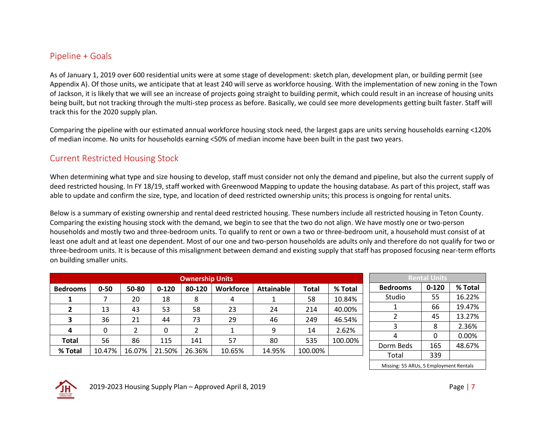#### Pipeline + Goals

As of January 1, 2019 over 600 residential units were at some stage of development: sketch plan, development plan, or building permit (see Appendix A). Of those units, we anticipate that at least 240 will serve as workforce housing. With the implementation of new zoning in the Town of Jackson, it is likely that we will see an increase of projects going straight to building permit, which could result in an increase of housing units being built, but not tracking through the multi-step process as before. Basically, we could see more developments getting built faster. Staff will track this for the 2020 supply plan.

Comparing the pipeline with our estimated annual workforce housing stock need, the largest gaps are units serving households earning <120% of median income. No units for households earning <50% of median income have been built in the past two years.

## Current Restricted Housing Stock

When determining what type and size housing to develop, staff must consider not only the demand and pipeline, but also the current supply of deed restricted housing. In FY 18/19, staff worked with Greenwood Mapping to update the housing database. As part of this project, staff was able to update and confirm the size, type, and location of deed restricted ownership units; this process is ongoing for rental units.

Below is a summary of existing ownership and rental deed restricted housing. These numbers include all restricted housing in Teton County. Comparing the existing housing stock with the demand, we begin to see that the two do not align. We have mostly one or two-person households and mostly two and three-bedroom units. To qualify to rent or own a two or three-bedroom unit, a household must consist of at least one adult and at least one dependent. Most of our one and two-person households are adults only and therefore do not qualify for two or three-bedroom units. It is because of this misalignment between demand and existing supply that staff has proposed focusing near-term efforts on building smaller units.

|                 |          |               |           | <b>Ownership Units</b> |           |                   |              |         |
|-----------------|----------|---------------|-----------|------------------------|-----------|-------------------|--------------|---------|
| <b>Bedrooms</b> | $0 - 50$ | 50-80         | $0 - 120$ | 80-120                 | Workforce | <b>Attainable</b> | <b>Total</b> | % Total |
| 1               |          | 20            | 18        | 8                      | 4         |                   | 58           | 10.84%  |
| $\overline{2}$  | 13       | 43            | 53        | 58                     | 23        | 24                | 214          | 40.00%  |
| 3               | 36       | 21            | 44        | 73                     | 29        | 46                | 249          | 46.54%  |
| 4               | $\Omega$ | $\mathcal{P}$ | 0         | 2                      | 1         | 9                 | 14           | 2.62%   |
| <b>Total</b>    | 56       | 86            | 115       | 141                    | 57        | 80                | 535          | 100.00% |
| % Total         | 10.47%   | 16.07%        | 21.50%    | 26.36%                 | 10.65%    | 14.95%            | 100.00%      |         |

| <b>Rental Units</b>                    |           |         |  |  |  |  |  |  |  |  |
|----------------------------------------|-----------|---------|--|--|--|--|--|--|--|--|
| <b>Bedrooms</b>                        | $0 - 120$ | % Total |  |  |  |  |  |  |  |  |
| Studio                                 | 55        | 16.22%  |  |  |  |  |  |  |  |  |
| 1                                      | 66        | 19.47%  |  |  |  |  |  |  |  |  |
| 2                                      | 45        | 13.27%  |  |  |  |  |  |  |  |  |
| 3                                      | 8         | 2.36%   |  |  |  |  |  |  |  |  |
| 4                                      | 0         | 0.00%   |  |  |  |  |  |  |  |  |
| Dorm Beds                              | 165       | 48.67%  |  |  |  |  |  |  |  |  |
| Total                                  | 339       |         |  |  |  |  |  |  |  |  |
| Missing: 55 ARUs, 5 Employment Rentals |           |         |  |  |  |  |  |  |  |  |

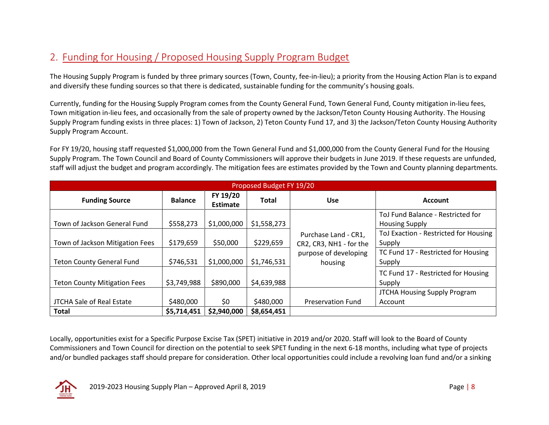# 2. Funding for Housing / Proposed Housing Supply Program Budget

The Housing Supply Program is funded by three primary sources (Town, County, fee-in-lieu); a priority from the Housing Action Plan is to expand and diversify these funding sources so that there is dedicated, sustainable funding for the community's housing goals.

Currently, funding for the Housing Supply Program comes from the County General Fund, Town General Fund, County mitigation in-lieu fees, Town mitigation in-lieu fees, and occasionally from the sale of property owned by the Jackson/Teton County Housing Authority. The Housing Supply Program funding exists in three places: 1) Town of Jackson, 2) Teton County Fund 17, and 3) the Jackson/Teton County Housing Authority Supply Program Account.

For FY 19/20, housing staff requested \$1,000,000 from the Town General Fund and \$1,000,000 from the County General Fund for the Housing Supply Program. The Town Council and Board of County Commissioners will approve their budgets in June 2019. If these requests are unfunded, staff will adjust the budget and program accordingly. The mitigation fees are estimates provided by the Town and County planning departments.

|                                                  | Proposed Budget FY 19/20 |                             |                          |                                                 |                                                            |  |  |  |  |  |  |  |  |
|--------------------------------------------------|--------------------------|-----------------------------|--------------------------|-------------------------------------------------|------------------------------------------------------------|--|--|--|--|--|--|--|--|
| <b>Funding Source</b>                            | <b>Balance</b>           | FY 19/20<br><b>Estimate</b> | <b>Total</b>             | <b>Use</b>                                      | <b>Account</b>                                             |  |  |  |  |  |  |  |  |
| Town of Jackson General Fund                     | \$558,273                | \$1,000,000                 | \$1,558,273              |                                                 | ToJ Fund Balance - Restricted for<br><b>Housing Supply</b> |  |  |  |  |  |  |  |  |
| Town of Jackson Mitigation Fees                  | \$179,659                | \$50,000                    | \$229,659                | Purchase Land - CR1,<br>CR2, CR3, NH1 - for the | ToJ Exaction - Restricted for Housing<br>Supply            |  |  |  |  |  |  |  |  |
| <b>Teton County General Fund</b>                 | \$746,531                | \$1,000,000                 | \$1,746,531              | purpose of developing<br>housing                | TC Fund 17 - Restricted for Housing<br>Supply              |  |  |  |  |  |  |  |  |
| <b>Teton County Mitigation Fees</b>              | \$3,749,988              | \$890,000                   | \$4,639,988              |                                                 | TC Fund 17 - Restricted for Housing<br>Supply              |  |  |  |  |  |  |  |  |
|                                                  |                          |                             |                          |                                                 | JTCHA Housing Supply Program                               |  |  |  |  |  |  |  |  |
| <b>JTCHA Sale of Real Estate</b><br><b>Total</b> | \$480,000<br>\$5,714,451 | \$0<br>\$2,940,000          | \$480,000<br>\$8,654,451 | <b>Preservation Fund</b>                        | Account                                                    |  |  |  |  |  |  |  |  |

Locally, opportunities exist for a Specific Purpose Excise Tax (SPET) initiative in 2019 and/or 2020. Staff will look to the Board of County Commissioners and Town Council for direction on the potential to seek SPET funding in the next 6-18 months, including what type of projects and/or bundled packages staff should prepare for consideration. Other local opportunities could include a revolving loan fund and/or a sinking

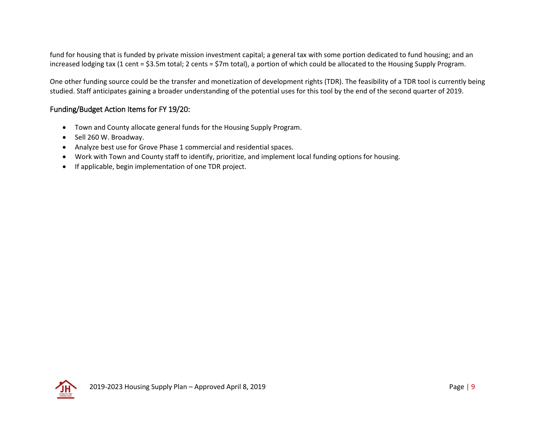fund for housing that is funded by private mission investment capital; a general tax with some portion dedicated to fund housing; and an increased lodging tax (1 cent = \$3.5m total; 2 cents = \$7m total), a portion of which could be allocated to the Housing Supply Program.

One other funding source could be the transfer and monetization of development rights (TDR). The feasibility of a TDR tool is currently being studied. Staff anticipates gaining a broader understanding of the potential uses for this tool by the end of the second quarter of 2019.

#### Funding/Budget Action Items for FY 19/20:

- Town and County allocate general funds for the Housing Supply Program.
- Sell 260 W. Broadway.
- Analyze best use for Grove Phase 1 commercial and residential spaces.
- Work with Town and County staff to identify, prioritize, and implement local funding options for housing.
- If applicable, begin implementation of one TDR project.

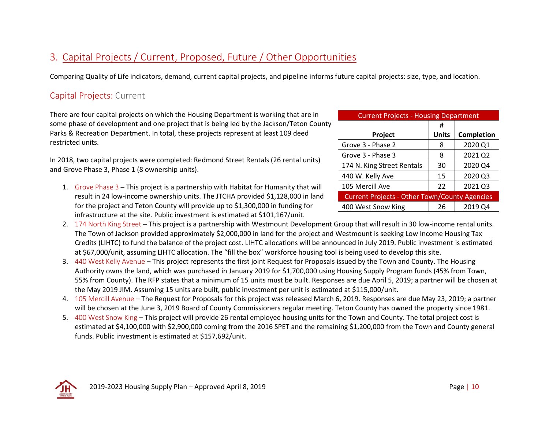# 3. Capital Projects / Current, Proposed, Future / Other Opportunities

Comparing Quality of Life indicators, demand, current capital projects, and pipeline informs future capital projects: size, type, and location.

## Capital Projects: Current

There are four capital projects on which the Housing Department is working that are in some phase of development and one project that is being led by the Jackson/Teton County Parks & Recreation Department. In total, these projects represent at least 109 deed restricted units.

In 2018, two capital projects were completed: Redmond Street Rentals (26 rental units) and Grove Phase 3, Phase 1 (8 ownership units).

- 1. Grove Phase 3 This project is a partnership with Habitat for Humanity that will result in 24 low-income ownership units. The JTCHA provided \$1,128,000 in land for the project and Teton County will provide up to \$1,300,000 in funding for infrastructure at the site. Public investment is estimated at \$101,167/unit.
- Current Projects Housing Department **Project # Units Completion** Grove 3 - Phase 2  $8 \mid 2020 \text{ Q1}$ Grove 3 - Phase 3  $\begin{array}{|c|c|c|c|c|c|c|c|c|} \hline \end{array}$  8  $\begin{array}{|c|c|c|c|c|c|c|c|c|} \hline \end{array}$  2021 Q2 174 N. King Street Rentals | 30 | 2020 Q4 440 W. Kelly Ave 15 2020 Q3 105 Mercill Ave 22 2021 Q3 Current Projects - Other Town/County Agencies 400 West Snow King 26 2019 Q4
- 2. 174 North King Street This project is a partnership with Westmount Development Group that will result in 30 low-income rental units. The Town of Jackson provided approximately \$2,000,000 in land for the project and Westmount is seeking Low Income Housing Tax Credits (LIHTC) to fund the balance of the project cost. LIHTC allocations will be announced in July 2019. Public investment is estimated at \$67,000/unit, assuming LIHTC allocation. The "fill the box" workforce housing tool is being used to develop this site.
- 3. 440 West Kelly Avenue This project represents the first joint Request for Proposals issued by the Town and County. The Housing Authority owns the land, which was purchased in January 2019 for \$1,700,000 using Housing Supply Program funds (45% from Town, 55% from County). The RFP states that a minimum of 15 units must be built. Responses are due April 5, 2019; a partner will be chosen at the May 2019 JIM. Assuming 15 units are built, public investment per unit is estimated at \$115,000/unit.
- 4. 105 Mercill Avenue The Request for Proposals for this project was released March 6, 2019. Responses are due May 23, 2019; a partner will be chosen at the June 3, 2019 Board of County Commissioners regular meeting. Teton County has owned the property since 1981.
- 5. 400 West Snow King This project will provide 26 rental employee housing units for the Town and County. The total project cost is estimated at \$4,100,000 with \$2,900,000 coming from the 2016 SPET and the remaining \$1,200,000 from the Town and County general funds. Public investment is estimated at \$157,692/unit.

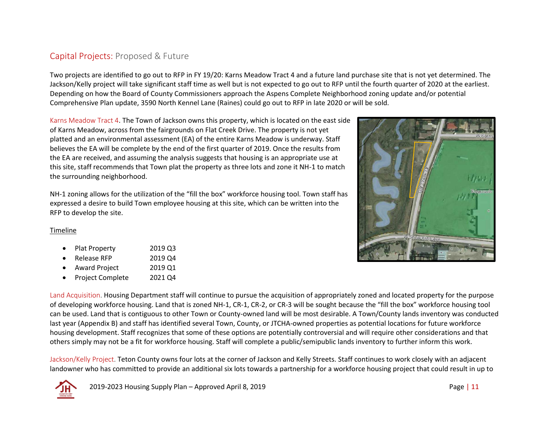## Capital Projects: Proposed & Future

Two projects are identified to go out to RFP in FY 19/20: Karns Meadow Tract 4 and a future land purchase site that is not yet determined. The Jackson/Kelly project will take significant staff time as well but is not expected to go out to RFP until the fourth quarter of 2020 at the earliest. Depending on how the Board of County Commissioners approach the Aspens Complete Neighborhood zoning update and/or potential Comprehensive Plan update, 3590 North Kennel Lane (Raines) could go out to RFP in late 2020 or will be sold.

Karns Meadow Tract 4. The Town of Jackson owns this property, which is located on the east side of Karns Meadow, across from the fairgrounds on Flat Creek Drive. The property is not yet platted and an environmental assessment (EA) of the entire Karns Meadow is underway. Staff believes the EA will be complete by the end of the first quarter of 2019. Once the results from the EA are received, and assuming the analysis suggests that housing is an appropriate use at this site, staff recommends that Town plat the property as three lots and zone it NH-1 to match the surrounding neighborhood.

NH-1 zoning allows for the utilization of the "fill the box" workforce housing tool. Town staff has expressed a desire to build Town employee housing at this site, which can be written into the RFP to develop the site.

#### Timeline

- Plat Property 2019 Q3
- Release RFP 2019 Q4
- Award Project 2019 Q1
- Project Complete 2021 Q4



Land Acquisition. Housing Department staff will continue to pursue the acquisition of appropriately zoned and located property for the purpose of developing workforce housing. Land that is zoned NH-1, CR-1, CR-2, or CR-3 will be sought because the "fill the box" workforce housing tool can be used. Land that is contiguous to other Town or County-owned land will be most desirable. A Town/County lands inventory was conducted last year (Appendix B) and staff has identified several Town, County, or JTCHA-owned properties as potential locations for future workforce housing development. Staff recognizes that some of these options are potentially controversial and will require other considerations and that others simply may not be a fit for workforce housing. Staff will complete a public/semipublic lands inventory to further inform this work.

Jackson/Kelly Project. Teton County owns four lots at the corner of Jackson and Kelly Streets. Staff continues to work closely with an adjacent landowner who has committed to provide an additional six lots towards a partnership for a workforce housing project that could result in up to

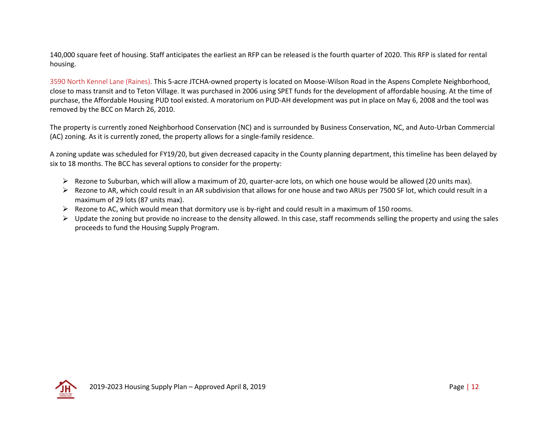140,000 square feet of housing. Staff anticipates the earliest an RFP can be released is the fourth quarter of 2020. This RFP is slated for rental housing.

3590 North Kennel Lane (Raines). This 5-acre JTCHA-owned property is located on Moose-Wilson Road in the Aspens Complete Neighborhood, close to mass transit and to Teton Village. It was purchased in 2006 using SPET funds for the development of affordable housing. At the time of purchase, the Affordable Housing PUD tool existed. A moratorium on PUD-AH development was put in place on May 6, 2008 and the tool was removed by the BCC on March 26, 2010.

The property is currently zoned Neighborhood Conservation (NC) and is surrounded by Business Conservation, NC, and Auto-Urban Commercial (AC) zoning. As it is currently zoned, the property allows for a single-family residence.

A zoning update was scheduled for FY19/20, but given decreased capacity in the County planning department, this timeline has been delayed by six to 18 months. The BCC has several options to consider for the property:

- $\triangleright$  Rezone to Suburban, which will allow a maximum of 20, quarter-acre lots, on which one house would be allowed (20 units max).
- ➢ Rezone to AR, which could result in an AR subdivision that allows for one house and two ARUs per 7500 SF lot, which could result in a maximum of 29 lots (87 units max).
- ➢ Rezone to AC, which would mean that dormitory use is by-right and could result in a maximum of 150 rooms.
- $\triangleright$  Update the zoning but provide no increase to the density allowed. In this case, staff recommends selling the property and using the sales proceeds to fund the Housing Supply Program.

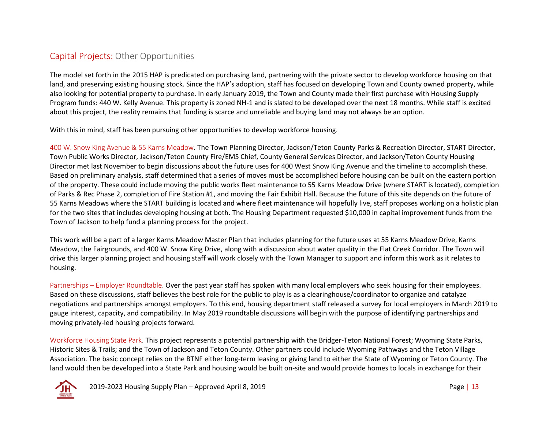## Capital Projects: Other Opportunities

The model set forth in the 2015 HAP is predicated on purchasing land, partnering with the private sector to develop workforce housing on that land, and preserving existing housing stock. Since the HAP's adoption, staff has focused on developing Town and County owned property, while also looking for potential property to purchase. In early January 2019, the Town and County made their first purchase with Housing Supply Program funds: 440 W. Kelly Avenue. This property is zoned NH-1 and is slated to be developed over the next 18 months. While staff is excited about this project, the reality remains that funding is scarce and unreliable and buying land may not always be an option.

With this in mind, staff has been pursuing other opportunities to develop workforce housing.

400 W. Snow King Avenue & 55 Karns Meadow. The Town Planning Director, Jackson/Teton County Parks & Recreation Director, START Director, Town Public Works Director, Jackson/Teton County Fire/EMS Chief, County General Services Director, and Jackson/Teton County Housing Director met last November to begin discussions about the future uses for 400 West Snow King Avenue and the timeline to accomplish these. Based on preliminary analysis, staff determined that a series of moves must be accomplished before housing can be built on the eastern portion of the property. These could include moving the public works fleet maintenance to 55 Karns Meadow Drive (where START is located), completion of Parks & Rec Phase 2, completion of Fire Station #1, and moving the Fair Exhibit Hall. Because the future of this site depends on the future of 55 Karns Meadows where the START building is located and where fleet maintenance will hopefully live, staff proposes working on a holistic plan for the two sites that includes developing housing at both. The Housing Department requested \$10,000 in capital improvement funds from the Town of Jackson to help fund a planning process for the project.

This work will be a part of a larger Karns Meadow Master Plan that includes planning for the future uses at 55 Karns Meadow Drive, Karns Meadow, the Fairgrounds, and 400 W. Snow King Drive, along with a discussion about water quality in the Flat Creek Corridor. The Town will drive this larger planning project and housing staff will work closely with the Town Manager to support and inform this work as it relates to housing.

Partnerships – Employer Roundtable. Over the past year staff has spoken with many local employers who seek housing for their employees. Based on these discussions, staff believes the best role for the public to play is as a clearinghouse/coordinator to organize and catalyze negotiations and partnerships amongst employers. To this end, housing department staff released a survey for local employers in March 2019 to gauge interest, capacity, and compatibility. In May 2019 roundtable discussions will begin with the purpose of identifying partnerships and moving privately-led housing projects forward.

Workforce Housing State Park. This project represents a potential partnership with the Bridger-Teton National Forest; Wyoming State Parks, Historic Sites & Trails; and the Town of Jackson and Teton County. Other partners could include Wyoming Pathways and the Teton Village Association. The basic concept relies on the BTNF either long-term leasing or giving land to either the State of Wyoming or Teton County. The land would then be developed into a State Park and housing would be built on-site and would provide homes to locals in exchange for their

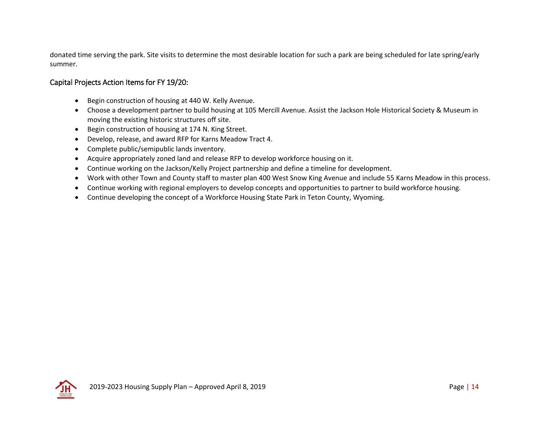donated time serving the park. Site visits to determine the most desirable location for such a park are being scheduled for late spring/early summer.

#### Capital Projects Action Items for FY 19/20:

- Begin construction of housing at 440 W. Kelly Avenue.
- Choose a development partner to build housing at 105 Mercill Avenue. Assist the Jackson Hole Historical Society & Museum in moving the existing historic structures off site.
- Begin construction of housing at 174 N. King Street.
- Develop, release, and award RFP for Karns Meadow Tract 4.
- Complete public/semipublic lands inventory.
- Acquire appropriately zoned land and release RFP to develop workforce housing on it.
- Continue working on the Jackson/Kelly Project partnership and define a timeline for development.
- Work with other Town and County staff to master plan 400 West Snow King Avenue and include 55 Karns Meadow in this process.
- Continue working with regional employers to develop concepts and opportunities to partner to build workforce housing.
- Continue developing the concept of a Workforce Housing State Park in Teton County, Wyoming.

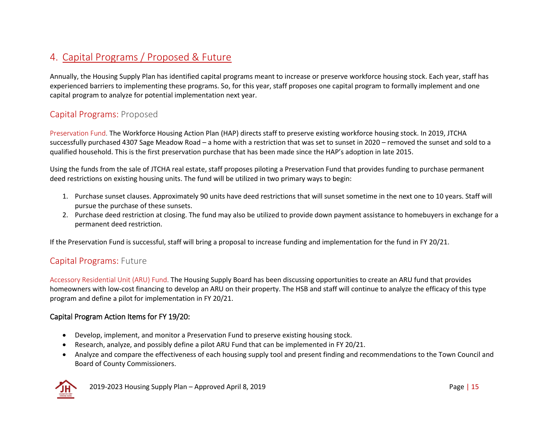# 4. Capital Programs / Proposed & Future

Annually, the Housing Supply Plan has identified capital programs meant to increase or preserve workforce housing stock. Each year, staff has experienced barriers to implementing these programs. So, for this year, staff proposes one capital program to formally implement and one capital program to analyze for potential implementation next year.

## Capital Programs: Proposed

Preservation Fund. The Workforce Housing Action Plan (HAP) directs staff to preserve existing workforce housing stock. In 2019, JTCHA successfully purchased 4307 Sage Meadow Road – a home with a restriction that was set to sunset in 2020 – removed the sunset and sold to a qualified household. This is the first preservation purchase that has been made since the HAP's adoption in late 2015.

Using the funds from the sale of JTCHA real estate, staff proposes piloting a Preservation Fund that provides funding to purchase permanent deed restrictions on existing housing units. The fund will be utilized in two primary ways to begin:

- 1. Purchase sunset clauses. Approximately 90 units have deed restrictions that will sunset sometime in the next one to 10 years. Staff will pursue the purchase of these sunsets.
- 2. Purchase deed restriction at closing. The fund may also be utilized to provide down payment assistance to homebuyers in exchange for a permanent deed restriction.

If the Preservation Fund is successful, staff will bring a proposal to increase funding and implementation for the fund in FY 20/21.

#### Capital Programs: Future

Accessory Residential Unit (ARU) Fund. The Housing Supply Board has been discussing opportunities to create an ARU fund that provides homeowners with low-cost financing to develop an ARU on their property. The HSB and staff will continue to analyze the efficacy of this type program and define a pilot for implementation in FY 20/21.

#### Capital Program Action Items for FY 19/20:

- Develop, implement, and monitor a Preservation Fund to preserve existing housing stock.
- Research, analyze, and possibly define a pilot ARU Fund that can be implemented in FY 20/21.
- Analyze and compare the effectiveness of each housing supply tool and present finding and recommendations to the Town Council and Board of County Commissioners.

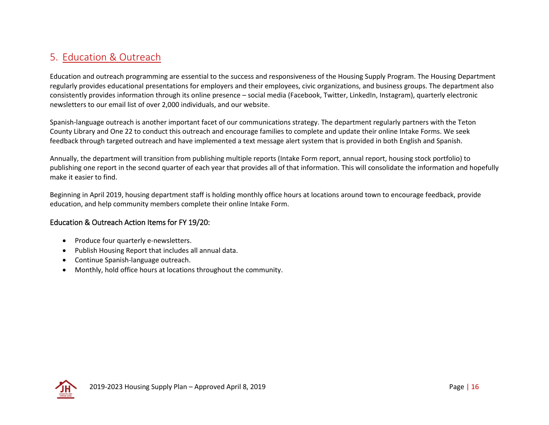# 5. Education & Outreach

Education and outreach programming are essential to the success and responsiveness of the Housing Supply Program. The Housing Department regularly provides educational presentations for employers and their employees, civic organizations, and business groups. The department also consistently provides information through its online presence – social media (Facebook, Twitter, LinkedIn, Instagram), quarterly electronic newsletters to our email list of over 2,000 individuals, and our website.

Spanish-language outreach is another important facet of our communications strategy. The department regularly partners with the Teton County Library and One 22 to conduct this outreach and encourage families to complete and update their online Intake Forms. We seek feedback through targeted outreach and have implemented a text message alert system that is provided in both English and Spanish.

Annually, the department will transition from publishing multiple reports (Intake Form report, annual report, housing stock portfolio) to publishing one report in the second quarter of each year that provides all of that information. This will consolidate the information and hopefully make it easier to find.

Beginning in April 2019, housing department staff is holding monthly office hours at locations around town to encourage feedback, provide education, and help community members complete their online Intake Form.

#### Education & Outreach Action Items for FY 19/20:

- Produce four quarterly e-newsletters.
- Publish Housing Report that includes all annual data.
- Continue Spanish-language outreach.
- Monthly, hold office hours at locations throughout the community.

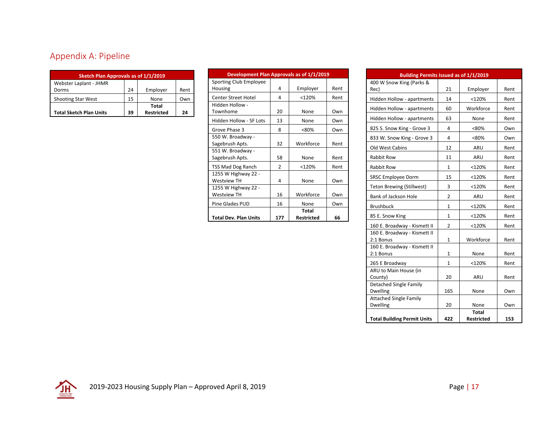# Appendix A: Pipeline

| Sketch Plan Approvals as of 1/1/2019 |    |                   |      |  |  |  |  |  |  |  |  |
|--------------------------------------|----|-------------------|------|--|--|--|--|--|--|--|--|
| Webster Laplant - JHMR               |    |                   |      |  |  |  |  |  |  |  |  |
| Dorms                                | 24 | Employer          | Rent |  |  |  |  |  |  |  |  |
| <b>Shooting Star West</b>            | 15 | None              | Own  |  |  |  |  |  |  |  |  |
|                                      |    | Total             |      |  |  |  |  |  |  |  |  |
| <b>Total Sketch Plan Units</b>       | 39 | <b>Restricted</b> | 24   |  |  |  |  |  |  |  |  |

| Development Plan Approvals as of 1/1/2019 |                |                            |      |
|-------------------------------------------|----------------|----------------------------|------|
| Sporting Club Employee<br>Housing         | 4              | Employer                   | Rent |
| <b>Center Street Hotel</b>                | 4              | $<$ 120%                   | Rent |
| Hidden Hollow -<br>Townhome               | 20             | None                       | Own  |
| Hidden Hollow - SF Lots                   | 13             | None                       | Own  |
| Grove Phase 3                             | 8              | < 80%                      | Own  |
| 550 W. Broadway -<br>Sagebrush Apts.      | 32             | Workforce                  | Rent |
| 551 W. Broadway -<br>Sagebrush Apts.      | 58             | None                       | Rent |
| TSS Mad Dog Ranch                         | $\mathfrak{p}$ | <120%                      | Rent |
| 1255 W Highway 22 -<br><b>Westview TH</b> | 4              | None                       | Own  |
| 1255 W Highway 22 -<br><b>Westview TH</b> | 16             | Workforce                  | Own  |
| <b>Pine Glades PUD</b>                    | 16             | None                       | Own  |
| <b>Total Dev. Plan Units</b>              | 177            | Total<br><b>Restricted</b> | 66   |

| Building Permits Issued as of 1/1/2019           |              |                   |      |  |  |  |  |  |  |  |
|--------------------------------------------------|--------------|-------------------|------|--|--|--|--|--|--|--|
| 400 W Snow King (Parks &                         |              |                   |      |  |  |  |  |  |  |  |
| Rec)                                             | 21           | Employer          | Rent |  |  |  |  |  |  |  |
| Hidden Hollow - apartments                       | 14           | $<$ 120%          | Rent |  |  |  |  |  |  |  |
| Hidden Hollow - apartments                       | 60           | Workforce         | Rent |  |  |  |  |  |  |  |
| Hidden Hollow - apartments                       | 63           | None              | Rent |  |  |  |  |  |  |  |
| 825 S. Snow King - Grove 3                       | 4            | <80%              | Own  |  |  |  |  |  |  |  |
| 833 W. Snow King - Grove 3                       | 4            | <80%              | Own  |  |  |  |  |  |  |  |
| Old West Cabins                                  | 12           | ARU               | Rent |  |  |  |  |  |  |  |
| Rabbit Row                                       | 11           | ARU               | Rent |  |  |  |  |  |  |  |
| <b>Rabbit Row</b>                                | $\mathbf{1}$ | <120%             | Rent |  |  |  |  |  |  |  |
| <b>SRSC Employee Dorm</b>                        | 15           | <120%             | Rent |  |  |  |  |  |  |  |
| <b>Teton Brewing (Stillwest)</b>                 | 3            | <120%             | Rent |  |  |  |  |  |  |  |
| Bank of Jackson Hole                             | 2            | ARU               | Rent |  |  |  |  |  |  |  |
| <b>Brushbuck</b>                                 | $\mathbf{1}$ | <120%             | Rent |  |  |  |  |  |  |  |
| 85 E. Snow King                                  | 1            | <120%             | Rent |  |  |  |  |  |  |  |
| 160 E. Broadway - Kismett II                     | 2            | <120%             | Rent |  |  |  |  |  |  |  |
| 160 E. Broadway - Kismett II<br>2:1 Bonus        | 1            | Workforce         | Rent |  |  |  |  |  |  |  |
| 160 E. Broadway - Kismett II                     |              |                   |      |  |  |  |  |  |  |  |
| 2:1 Bonus                                        | $\mathbf{1}$ | None              | Rent |  |  |  |  |  |  |  |
| 265 E Broadway                                   | 1            | <120%             | Rent |  |  |  |  |  |  |  |
| ARU to Main House (in                            |              |                   |      |  |  |  |  |  |  |  |
| County)                                          | 20           | ARU               | Rent |  |  |  |  |  |  |  |
| <b>Detached Single Family</b><br><b>Dwelling</b> | 165          |                   |      |  |  |  |  |  |  |  |
| <b>Attached Single Family</b>                    |              | None              | Own  |  |  |  |  |  |  |  |
| <b>Dwelling</b>                                  | 20           | None              | Own  |  |  |  |  |  |  |  |
|                                                  |              | Total             |      |  |  |  |  |  |  |  |
| <b>Total Building Permit Units</b>               | 422          | <b>Restricted</b> | 153  |  |  |  |  |  |  |  |

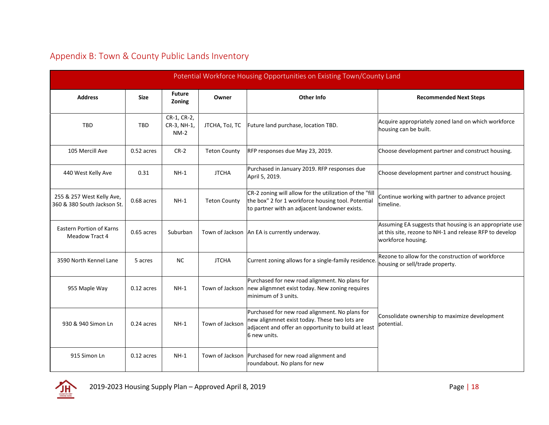|                                                          |              |                                      |                     | Potential Workforce Housing Opportunities on Existing Town/County Land                                                                                                 |                                                                                                                                          |
|----------------------------------------------------------|--------------|--------------------------------------|---------------------|------------------------------------------------------------------------------------------------------------------------------------------------------------------------|------------------------------------------------------------------------------------------------------------------------------------------|
| <b>Address</b>                                           | <b>Size</b>  | <b>Future</b><br>Zoning              | Owner               | Other Info                                                                                                                                                             | <b>Recommended Next Steps</b>                                                                                                            |
| <b>TBD</b>                                               | <b>TBD</b>   | CR-1, CR-2,<br>CR-3, NH-1,<br>$NM-2$ | JTCHA, ToJ, TC      | Future land purchase, location TBD.                                                                                                                                    | Acquire appropriately zoned land on which workforce<br>housing can be built.                                                             |
| 105 Mercill Ave                                          | $0.52$ acres | $CR-2$                               | <b>Teton County</b> | RFP responses due May 23, 2019.                                                                                                                                        | Choose development partner and construct housing.                                                                                        |
| 440 West Kelly Ave                                       | 0.31         | $NH-1$                               | <b>JTCHA</b>        | Purchased in January 2019. RFP responses due<br>April 5, 2019.                                                                                                         | Choose development partner and construct housing.                                                                                        |
| 255 & 257 West Kelly Ave,<br>360 & 380 South Jackson St. | 0.68 acres   | $NH-1$                               | <b>Teton County</b> | CR-2 zoning will allow for the utilization of the "fill<br>the box" 2 for 1 workforce housing tool. Potential<br>to partner with an adjacent landowner exists.         | Continue working with partner to advance project<br>timeline.                                                                            |
| <b>Eastern Portion of Karns</b><br><b>Meadow Tract 4</b> | 0.65 acres   | Suburban                             |                     | Town of Jackson   An EA is currently underway.                                                                                                                         | Assuming EA suggests that housing is an appropriate use<br>at this site, rezone to NH-1 and release RFP to develop<br>workforce housing. |
| 3590 North Kennel Lane                                   | 5 acres      | <b>NC</b>                            | <b>JTCHA</b>        | Current zoning allows for a single-family residence.                                                                                                                   | Rezone to allow for the construction of workforce<br>housing or sell/trade property.                                                     |
| 955 Maple Way                                            | 0.12 acres   | $NH-1$                               | Town of Jackson     | Purchased for new road alignment. No plans for<br>new alignmnet exist today. New zoning requires<br>minimum of 3 units.                                                |                                                                                                                                          |
| 930 & 940 Simon Ln                                       | 0.24 acres   | $NH-1$                               | Town of Jackson     | Purchased for new road alignment. No plans for<br>new alignmnet exist today. These two lots are<br>adjacent and offer an opportunity to build at least<br>6 new units. | Consolidate ownership to maximize development<br>potential.                                                                              |
| 915 Simon Ln                                             | $0.12$ acres | $NH-1$                               | Town of Jackson     | Purchased for new road alignment and<br>roundabout. No plans for new                                                                                                   |                                                                                                                                          |

## Appendix B: Town & County Public Lands Inventory

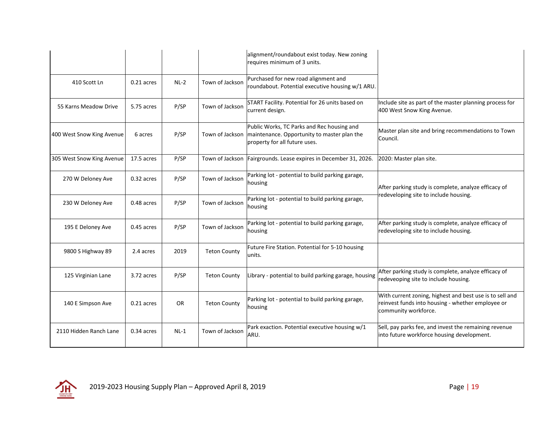|                           |              |           |                     | alignment/roundabout exist today. New zoning<br>requires minimum of 3 units.                                               |                                                                                                                                       |
|---------------------------|--------------|-----------|---------------------|----------------------------------------------------------------------------------------------------------------------------|---------------------------------------------------------------------------------------------------------------------------------------|
| 410 Scott Ln              | 0.21 acres   | $NL-2$    | Town of Jackson     | Purchased for new road alignment and<br>roundabout. Potential executive housing w/1 ARU.                                   |                                                                                                                                       |
| 55 Karns Meadow Drive     | 5.75 acres   | P/SP      | Town of Jackson     | START Facility. Potential for 26 units based on<br>current design.                                                         | Include site as part of the master planning process for<br>400 West Snow King Avenue.                                                 |
| 400 West Snow King Avenue | 6 acres      | P/SP      | Town of Jackson     | Public Works, TC Parks and Rec housing and<br>maintenance. Opportunity to master plan the<br>property for all future uses. | Master plan site and bring recommendations to Town<br>Council.                                                                        |
| 305 West Snow King Avenue | 17.5 acres   | P/SP      |                     | Town of Jackson   Fairgrounds. Lease expires in December 31, 2026.                                                         | 2020: Master plan site.                                                                                                               |
| 270 W Deloney Ave         | 0.32 acres   | P/SP      | Town of Jackson     | Parking lot - potential to build parking garage,<br>housing                                                                | After parking study is complete, analyze efficacy of                                                                                  |
| 230 W Deloney Ave         | 0.48 acres   | P/SP      | Town of Jackson     | Parking lot - potential to build parking garage,<br>housing                                                                | redeveloping site to include housing.                                                                                                 |
| 195 E Deloney Ave         | 0.45 acres   | P/SP      | Town of Jackson     | Parking lot - potential to build parking garage,<br>housing                                                                | After parking study is complete, analyze efficacy of<br>redeveloping site to include housing.                                         |
| 9800 S Highway 89         | 2.4 acres    | 2019      | <b>Teton County</b> | Future Fire Station. Potential for 5-10 housing<br>units.                                                                  |                                                                                                                                       |
| 125 Virginian Lane        | 3.72 acres   | P/SP      | <b>Teton County</b> | Library - potential to build parking garage, housing                                                                       | After parking study is complete, analyze efficacy of<br>redeveoping site to include housing.                                          |
| 140 E Simpson Ave         | $0.21$ acres | <b>OR</b> | <b>Teton County</b> | Parking lot - potential to build parking garage,<br>housing                                                                | With current zoning, highest and best use is to sell and<br>reinvest funds into housing - whether employee or<br>community workforce. |
| 2110 Hidden Ranch Lane    | 0.34 acres   | $NL-1$    | Town of Jackson     | Park exaction. Potential executive housing w/1<br>ARU.                                                                     | Sell, pay parks fee, and invest the remaining revenue<br>into future workforce housing development.                                   |

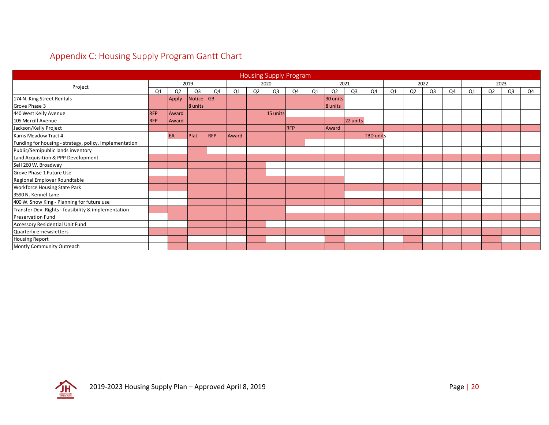# Appendix C: Housing Supply Program Gantt Chart

| <b>Housing Supply Program</b>                          |            |                |                |            |       |                |                |            |    |                |                |                  |      |                |                |    |    |                |                |    |
|--------------------------------------------------------|------------|----------------|----------------|------------|-------|----------------|----------------|------------|----|----------------|----------------|------------------|------|----------------|----------------|----|----|----------------|----------------|----|
|                                                        | 2019       |                |                | 2020       |       |                | 2021           |            |    | 2022           |                |                  | 2023 |                |                |    |    |                |                |    |
| Project                                                |            | Q <sub>2</sub> | Q <sub>3</sub> | Q4         | Q1    | Q <sub>2</sub> | Q <sub>3</sub> | Q4         | Q1 | Q <sub>2</sub> | Q <sub>3</sub> | Q4               | Q1   | Q <sub>2</sub> | Q <sub>3</sub> | Q4 | Q1 | Q <sub>2</sub> | Q <sub>3</sub> | Q4 |
| 174 N. King Street Rentals                             |            | Apply          | Notice GB      |            |       |                |                |            |    | 30 units       |                |                  |      |                |                |    |    |                |                |    |
| Grove Phase 3                                          |            |                | 8 units        |            |       |                |                |            |    | 8 units        |                |                  |      |                |                |    |    |                |                |    |
| 440 West Kelly Avenue                                  | <b>RFP</b> | Award          |                |            |       |                | 15 units       |            |    |                |                |                  |      |                |                |    |    |                |                |    |
| 105 Mercill Avenue                                     | <b>RFP</b> | Award          |                |            |       |                |                |            |    |                | 22 units       |                  |      |                |                |    |    |                |                |    |
| Jackson/Kelly Project                                  |            |                |                |            |       |                |                | <b>RFP</b> |    | Award          |                |                  |      |                |                |    |    |                |                |    |
| Karns Meadow Tract 4                                   |            | EA             | Plat           | <b>RFP</b> | Award |                |                |            |    |                |                | <b>TBD</b> units |      |                |                |    |    |                |                |    |
| Funding for housing - strategy, policy, implementation |            |                |                |            |       |                |                |            |    |                |                |                  |      |                |                |    |    |                |                |    |
| Public/Semipublic lands inventory                      |            |                |                |            |       |                |                |            |    |                |                |                  |      |                |                |    |    |                |                |    |
| Land Acquisition & PPP Development                     |            |                |                |            |       |                |                |            |    |                |                |                  |      |                |                |    |    |                |                |    |
| Sell 260 W. Broadway                                   |            |                |                |            |       |                |                |            |    |                |                |                  |      |                |                |    |    |                |                |    |
| Grove Phase 1 Future Use                               |            |                |                |            |       |                |                |            |    |                |                |                  |      |                |                |    |    |                |                |    |
| Regional Employer Roundtable                           |            |                |                |            |       |                |                |            |    |                |                |                  |      |                |                |    |    |                |                |    |
| <b>Workforce Housing State Park</b>                    |            |                |                |            |       |                |                |            |    |                |                |                  |      |                |                |    |    |                |                |    |
| 3590 N. Kennel Lane                                    |            |                |                |            |       |                |                |            |    |                |                |                  |      |                |                |    |    |                |                |    |
| 400 W. Snow King - Planning for future use             |            |                |                |            |       |                |                |            |    |                |                |                  |      |                |                |    |    |                |                |    |
| Transfer Dev. Rights - feasibility & implementation    |            |                |                |            |       |                |                |            |    |                |                |                  |      |                |                |    |    |                |                |    |
| <b>Preservation Fund</b>                               |            |                |                |            |       |                |                |            |    |                |                |                  |      |                |                |    |    |                |                |    |
| Accessory Residential Unit Fund                        |            |                |                |            |       |                |                |            |    |                |                |                  |      |                |                |    |    |                |                |    |
| Quarterly e-newsletters                                |            |                |                |            |       |                |                |            |    |                |                |                  |      |                |                |    |    |                |                |    |
| <b>Housing Report</b>                                  |            |                |                |            |       |                |                |            |    |                |                |                  |      |                |                |    |    |                |                |    |
| Montly Community Outreach                              |            |                |                |            |       |                |                |            |    |                |                |                  |      |                |                |    |    |                |                |    |

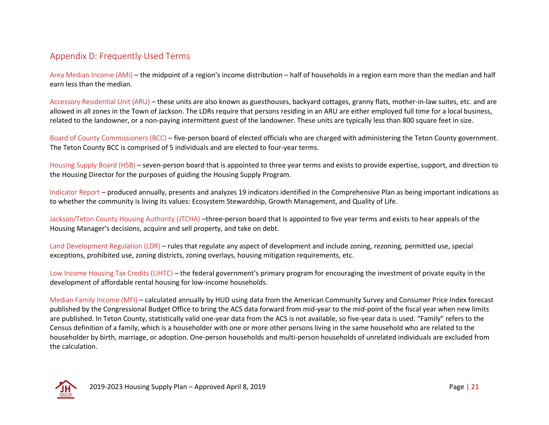#### Appendix D: Frequently Used Terms

Area Median Income (AMI) – the midpoint of a region's income distribution – half of households in a region earn more than the median and half earn less than the median.

Accessory Residential Unit (ARU) – these units are also known as guesthouses, backyard cottages, granny flats, mother-in-law suites, etc. and are allowed in all zones in the Town of Jackson. The LDRs require that persons residing in an ARU are either employed full time for a local business, related to the landowner, or a non-paying intermittent guest of the landowner. These units are typically less than 800 square feet in size.

Board of County Commissioners (BCC) – five-person board of elected officials who are charged with administering the Teton County government. The Teton County BCC is comprised of 5 individuals and are elected to four-year terms.

Housing Supply Board (HSB) – seven-person board that is appointed to three year terms and exists to provide expertise, support, and direction to the Housing Director for the purposes of guiding the Housing Supply Program.

Indicator Report – produced annually, presents and analyzes 19 indicators identified in the Comprehensive Plan as being important indications as to whether the community is living its values: Ecosystem Stewardship, Growth Management, and Quality of Life.

Jackson/Teton County Housing Authority (JTCHA) –three-person board that is appointed to five year terms and exists to hear appeals of the Housing Manager's decisions, acquire and sell property, and take on debt.

Land Development Regulation (LDR) – rules that regulate any aspect of development and include zoning, rezoning, permitted use, special exceptions, prohibited use, zoning districts, zoning overlays, housing mitigation requirements, etc.

Low Income Housing Tax Credits (LIHTC) – the federal government's primary program for encouraging the investment of private equity in the development of affordable rental housing for low-income households.

Median Family Income (MFI) – calculated annually by HUD using data from the American Community Survey and Consumer Price Index forecast published by the Congressional Budget Office to bring the ACS data forward from mid-year to the mid-point of the fiscal year when new limits are published. In Teton County, statistically valid one-year data from the ACS is not available, so five-year data is used. "Family" refers to the Census definition of a family, which is a householder with one or more other persons living in the same household who are related to the householder by birth, marriage, or adoption. One-person households and multi-person households of unrelated individuals are excluded from the calculation.